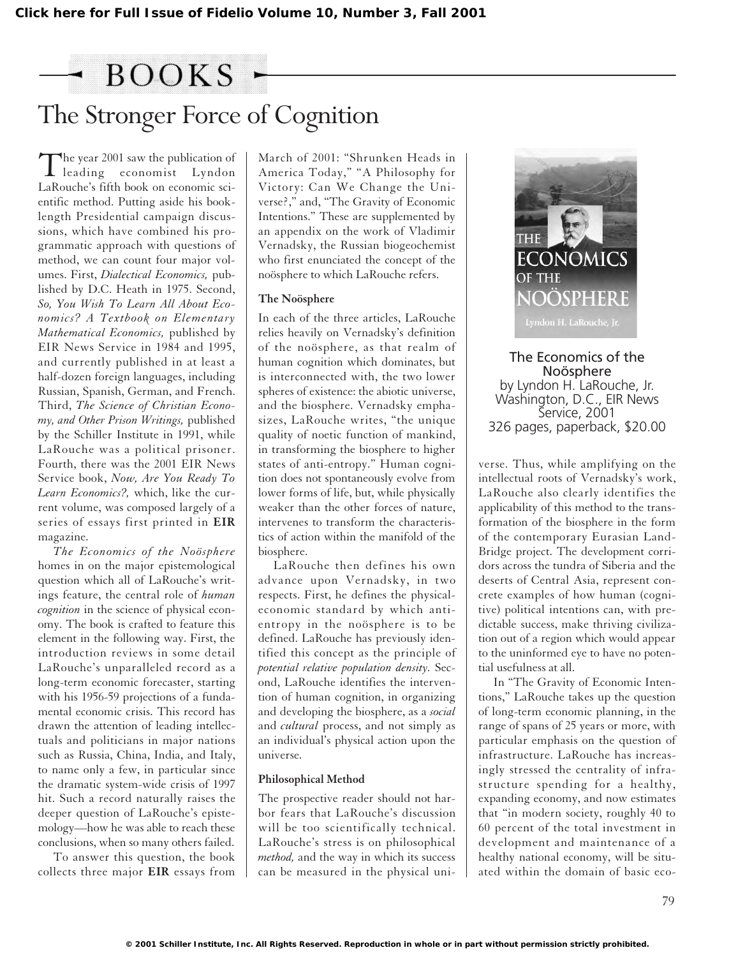# BOOKS -

## The Stronger Force of Cognition

The year 2001 saw the publication of<br>leading economist Lyndon LaRouche's fifth book on economic scientific method. Putting aside his booklength Presidential campaign discussions, which have combined his programmatic approach with questions of method, we can count four major volumes. First, *Dialectical Economics,* published by D.C. Heath in 1975. Second, *So, You Wish To Learn All About Economics? A Textbook on Elementary Mathematical Economics,* published by EIR News Service in 1984 and 1995, and currently published in at least a half-dozen foreign languages, including Russian, Spanish, German, and French. Third, *The Science of Christian Economy, and Other Prison Writings,* published by the Schiller Institute in 1991, while LaRouche was a political prisoner. Fourth, there was the 2001 EIR News Service book, *Now, Are You Ready To Learn Economics?,* which, like the current volume, was composed largely of a series of essays first printed in **EIR** magazine.

*The Economics of the Noösphere* homes in on the major epistemological question which all of LaRouche's writings feature, the central role of *human cognition* in the science of physical economy. The book is crafted to feature this element in the following way. First, the introduction reviews in some detail LaRouche's unparalleled record as a long-term economic forecaster, starting with his 1956-59 projections of a fundamental economic crisis. This record has drawn the attention of leading intellectuals and politicians in major nations such as Russia, China, India, and Italy, to name only a few, in particular since the dramatic system-wide crisis of 1997 hit. Such a record naturally raises the deeper question of LaRouche's epistemology—how he was able to reach these conclusions, when so many others failed.

To answer this question, the book collects three major **EIR** essays from March of 2001: "Shrunken Heads in America Today," "A Philosophy for Victory: Can We Change the Universe?," and, "The Gravity of Economic Intentions." These are supplemented by an appendix on the work of Vladimir Vernadsky, the Russian biogeochemist who first enunciated the concept of the noösphere to which LaRouche refers.

#### **The Noösphere**

In each of the three articles, LaRouche relies heavily on Vernadsky's definition of the noösphere, as that realm of human cognition which dominates, but is interconnected with, the two lower spheres of existence: the abiotic universe, and the biosphere. Vernadsky emphasizes, LaRouche writes, "the unique quality of noetic function of mankind, in transforming the biosphere to higher states of anti-entropy." Human cognition does not spontaneously evolve from lower forms of life, but, while physically weaker than the other forces of nature, intervenes to transform the characteristics of action within the manifold of the biosphere.

LaRouche then defines his own advance upon Vernadsky, in two respects. First, he defines the physicaleconomic standard by which antientropy in the noösphere is to be defined. LaRouche has previously identified this concept as the principle of *potential relative population density.* Second, LaRouche identifies the intervention of human cognition, in organizing and developing the biosphere, as a *social* and *cultural* process, and not simply as an individual's physical action upon the universe.

#### **Philosophical Method**

The prospective reader should not harbor fears that LaRouche's discussion will be too scientifically technical. LaRouche's stress is on philosophical *method,* and the way in which its success can be measured in the physical uni-



The Economics of the Noösphere by Lyndon H. LaRouche, Jr. Washington, D.C., EIR News Service, 2001 326 pages, paperback, \$20.00

verse. Thus, while amplifying on the intellectual roots of Vernadsky's work, LaRouche also clearly identifies the applicability of this method to the transformation of the biosphere in the form of the contemporary Eurasian Land-Bridge project. The development corridors across the tundra of Siberia and the deserts of Central Asia, represent concrete examples of how human (cognitive) political intentions can, with predictable success, make thriving civilization out of a region which would appear to the uninformed eye to have no potential usefulness at all.

In "The Gravity of Economic Intentions," LaRouche takes up the question of long-term economic planning, in the range of spans of 25 years or more, with particular emphasis on the question of infrastructure. LaRouche has increasingly stressed the centrality of infrastructure spending for a healthy, expanding economy, and now estimates that "in modern society, roughly 40 to 60 percent of the total investment in development and maintenance of a healthy national economy, will be situated within the domain of basic eco